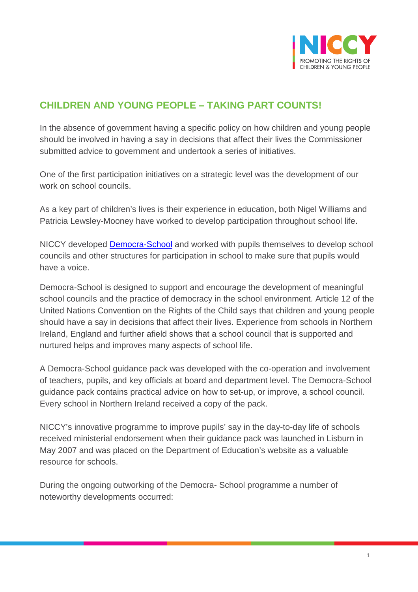

## **CHILDREN AND YOUNG PEOPLE – TAKING PART COUNTS!**

In the absence of government having a specific policy on how children and young people should be involved in having a say in decisions that affect their lives the Commissioner submitted advice to government and undertook a series of initiatives.

One of the first participation initiatives on a strategic level was the development of our work on school councils.

As a key part of children's lives is their experience in education, both Nigel Williams and Patricia Lewsley-Mooney have worked to develop participation throughout school life.

NICCY developed [Democra-School](http://www.niccy.org/Participation/democra2) and worked with pupils themselves to develop school councils and other structures for participation in school to make sure that pupils would have a voice.

Democra-School is designed to support and encourage the development of meaningful school councils and the practice of democracy in the school environment. Article 12 of the United Nations Convention on the Rights of the Child says that children and young people should have a say in decisions that affect their lives. Experience from schools in Northern Ireland, England and further afield shows that a school council that is supported and nurtured helps and improves many aspects of school life.

A Democra-School guidance pack was developed with the co-operation and involvement of teachers, pupils, and key officials at board and department level. The Democra-School guidance pack contains practical advice on how to set-up, or improve, a school council. Every school in Northern Ireland received a copy of the pack.

NICCY's innovative programme to improve pupils' say in the day-to-day life of schools received ministerial endorsement when their guidance pack was launched in Lisburn in May 2007 and was placed on the Department of Education's website as a valuable resource for schools.

During the ongoing outworking of the Democra- School programme a number of noteworthy developments occurred: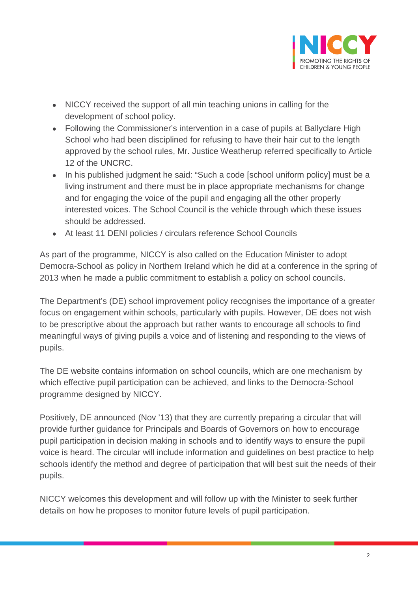

- NICCY received the support of all min teaching unions in calling for the development of school policy.
- Following the Commissioner's intervention in a case of pupils at Ballyclare High School who had been disciplined for refusing to have their hair cut to the length approved by the school rules, Mr. Justice Weatherup referred specifically to Article 12 of the UNCRC.
- In his published judgment he said: "Such a code [school uniform policy] must be a living instrument and there must be in place appropriate mechanisms for change and for engaging the voice of the pupil and engaging all the other properly interested voices. The School Council is the vehicle through which these issues should be addressed.
- At least 11 DENI policies / circulars reference School Councils

As part of the programme, NICCY is also called on the Education Minister to adopt Democra-School as policy in Northern Ireland which he did at a conference in the spring of 2013 when he made a public commitment to establish a policy on school councils.

The Department's (DE) school improvement policy recognises the importance of a greater focus on engagement within schools, particularly with pupils. However, DE does not wish to be prescriptive about the approach but rather wants to encourage all schools to find meaningful ways of giving pupils a voice and of listening and responding to the views of pupils.

The DE website contains information on school councils, which are one mechanism by which effective pupil participation can be achieved, and links to the Democra-School programme designed by NICCY.

Positively, DE announced (Nov '13) that they are currently preparing a circular that will provide further guidance for Principals and Boards of Governors on how to encourage pupil participation in decision making in schools and to identify ways to ensure the pupil voice is heard. The circular will include information and guidelines on best practice to help schools identify the method and degree of participation that will best suit the needs of their pupils.

NICCY welcomes this development and will follow up with the Minister to seek further details on how he proposes to monitor future levels of pupil participation.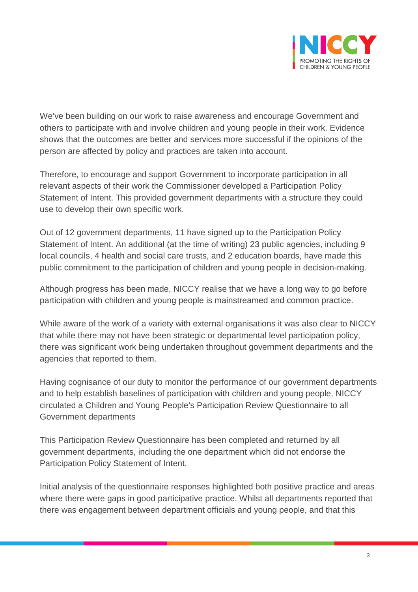

We've been building on our work to raise awareness and encourage Government and others to participate with and involve children and young people in their work. Evidence shows that the outcomes are better and services more successful if the opinions of the person are affected by policy and practices are taken into account.

Therefore, to encourage and support Government to incorporate participation in all relevant aspects of their work the Commissioner developed a Participation Policy Statement of Intent. This provided government departments with a structure they could use to develop their own specific work.

Out of 12 government departments, 11 have signed up to the Participation Policy Statement of Intent. An additional (at the time of writing) 23 public agencies, including 9 local councils, 4 health and social care trusts, and 2 education boards, have made this public commitment to the participation of children and young people in decision-making.

Although progress has been made, NICCY realise that we have a long way to go before participation with children and young people is mainstreamed and common practice.

While aware of the work of a variety with external organisations it was also clear to NICCY that while there may not have been strategic or departmental level participation policy, there was significant work being undertaken throughout government departments and the agencies that reported to them.

Having cognisance of our duty to monitor the performance of our government departments and to help establish baselines of participation with children and young people, NICCY circulated a Children and Young People's Participation Review Questionnaire to all Government departments

This Participation Review Questionnaire has been completed and returned by all government departments, including the one department which did not endorse the Participation Policy Statement of Intent.

Initial analysis of the questionnaire responses highlighted both positive practice and areas where there were gaps in good participative practice. Whilst all departments reported that there was engagement between department officials and young people, and that this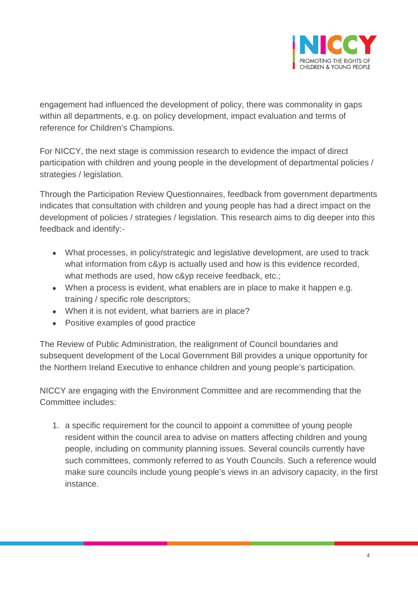

engagement had influenced the development of policy, there was commonality in gaps within all departments, e.g. on policy development, impact evaluation and terms of reference for Children's Champions.

For NICCY, the next stage is commission research to evidence the impact of direct participation with children and young people in the development of departmental policies / strategies / legislation.

Through the Participation Review Questionnaires, feedback from government departments indicates that consultation with children and young people has had a direct impact on the development of policies / strategies / legislation. This research aims to dig deeper into this feedback and identify:-

- What processes, in policy/strategic and legislative development, are used to track what information from c&yp is actually used and how is this evidence recorded, what methods are used, how c&yp receive feedback, etc.;
- When a process is evident, what enablers are in place to make it happen e.g. training / specific role descriptors;
- When it is not evident, what barriers are in place?
- Positive examples of good practice

The Review of Public Administration, the realignment of Council boundaries and subsequent development of the Local Government Bill provides a unique opportunity for the Northern Ireland Executive to enhance children and young people's participation.

NICCY are engaging with the Environment Committee and are recommending that the Committee includes:

1. a specific requirement for the council to appoint a committee of young people resident within the council area to advise on matters affecting children and young people, including on community planning issues. Several councils currently have such committees, commonly referred to as Youth Councils. Such a reference would make sure councils include young people's views in an advisory capacity, in the first instance.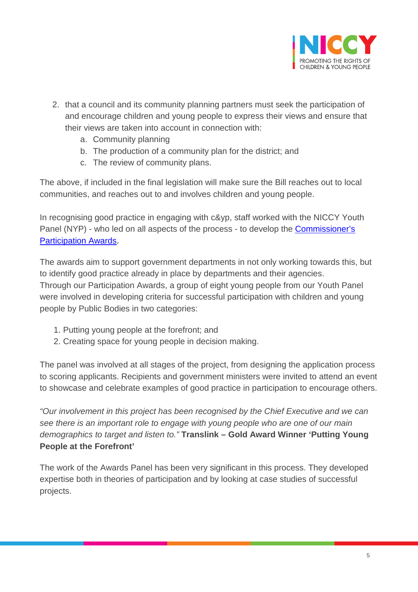

- 2. that a council and its community planning partners must seek the participation of and encourage children and young people to express their views and ensure that their views are taken into account in connection with:
	- a. Community planning
	- b. The production of a community plan for the district; and
	- c. The review of community plans.

The above, if included in the final legislation will make sure the Bill reaches out to local communities, and reaches out to and involves children and young people.

In recognising good practice in engaging with c&yp, staff worked with the NICCY Youth Panel (NYP) - who led on all aspects of the process - to develop the [Commissioner's](http://www.niccy.org/participationawards)  [Participation Awards.](http://www.niccy.org/participationawards)

The awards aim to support government departments in not only working towards this, but to identify good practice already in place by departments and their agencies. Through our Participation Awards, a group of eight young people from our Youth Panel were involved in developing criteria for successful participation with children and young people by Public Bodies in two categories:

- 1. Putting young people at the forefront; and
- 2. Creating space for young people in decision making.

The panel was involved at all stages of the project, from designing the application process to scoring applicants. Recipients and government ministers were invited to attend an event to showcase and celebrate examples of good practice in participation to encourage others.

*"Our involvement in this project has been recognised by the Chief Executive and we can see there is an important role to engage with young people who are one of our main demographics to target and listen to."* **Translink – Gold Award Winner 'Putting Young People at the Forefront'** 

The work of the Awards Panel has been very significant in this process. They developed expertise both in theories of participation and by looking at case studies of successful projects.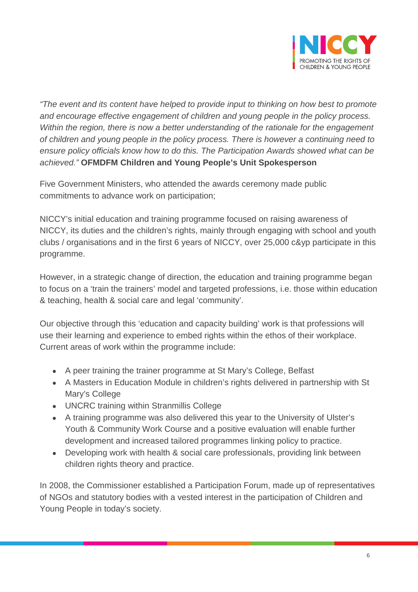

*"The event and its content have helped to provide input to thinking on how best to promote and encourage effective engagement of children and young people in the policy process. Within the region, there is now a better understanding of the rationale for the engagement of children and young people in the policy process. There is however a continuing need to ensure policy officials know how to do this. The Participation Awards showed what can be achieved."* **OFMDFM Children and Young People's Unit Spokesperson** 

Five Government Ministers, who attended the awards ceremony made public commitments to advance work on participation;

NICCY's initial education and training programme focused on raising awareness of NICCY, its duties and the children's rights, mainly through engaging with school and youth clubs / organisations and in the first 6 years of NICCY, over 25,000 c&yp participate in this programme.

However, in a strategic change of direction, the education and training programme began to focus on a 'train the trainers' model and targeted professions, i.e. those within education & teaching, health & social care and legal 'community'.

Our objective through this 'education and capacity building' work is that professions will use their learning and experience to embed rights within the ethos of their workplace. Current areas of work within the programme include:

- A peer training the trainer programme at St Mary's College, Belfast
- A Masters in Education Module in children's rights delivered in partnership with St Mary's College
- UNCRC training within Stranmillis College
- A training programme was also delivered this year to the University of Ulster's Youth & Community Work Course and a positive evaluation will enable further development and increased tailored programmes linking policy to practice.
- Developing work with health & social care professionals, providing link between children rights theory and practice.

In 2008, the Commissioner established a Participation Forum, made up of representatives of NGOs and statutory bodies with a vested interest in the participation of Children and Young People in today's society.